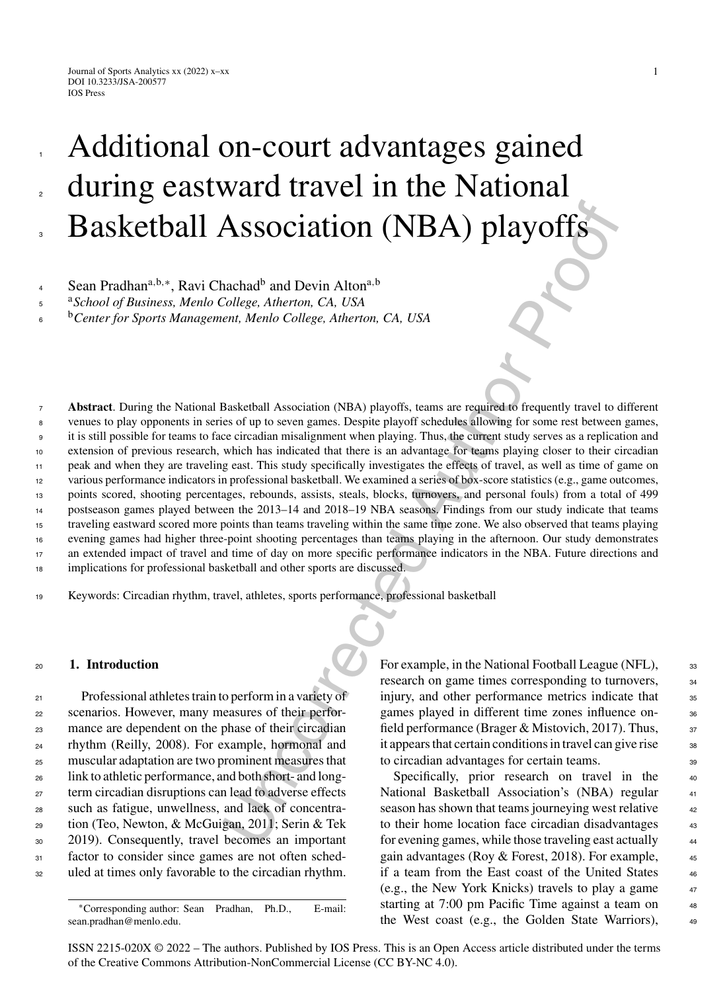1

2

3

# Additional on-court advantages gained during eastward travel in the National Basketball Association (NBA) playoffs

<sup>b</sup> <sup>6</sup> *Center for Sports Management, Menlo College, Atherton, CA, USA*

 $\begin{tabular}{l|c|c|c} \bf As SOCiation (NBA) playoffs \end{tabular} \begin{tabular}{l|c|c|c} \bf As SOCiation (NBA) playoffs \end{tabular} \begin{tabular}{l|c|c|c} \bf As the end, &\multicolumn{1}{c}{\bf A} &\multicolumn{1}{c}{\bf A} &\multicolumn{1}{c}{\bf A} &\multicolumn{1}{c}{\bf A} &\multicolumn{1}{c}{\bf A} &\multicolumn{1}{c}{\bf A} &\multicolumn{1}{c}{\bf B} &\multicolumn{1}{c}{\bf B} &\multicolumn{1}{c}{\bf B} &\multicolumn{1}{$ **Abstract**. During the National Basketball Association (NBA) playoffs, teams are required to frequently travel to different venues to play opponents in series of up to seven games. Despite playoff schedules allowing for some rest between games, it is still possible for teams to face circadian misalignment when playing. Thus, the current study serves as a replication and extension of previous research, which has indicated that there is an advantage for teams playing closer to their circadian peak and when they are traveling east. This study specifically investigates the effects of travel, as well as time of game on various performance indicators in professional basketball. We examined a series of box-score statistics (e.g., game outcomes, points scored, shooting percentages, rebounds, assists, steals, blocks, turnovers, and personal fouls) from a total of 499 postseason games played between the 2013–14 and 2018–19 NBA seasons. Findings from our study indicate that teams traveling eastward scored more points than teams traveling within the same time zone. We also observed that teams playing evening games had higher three-point shooting percentages than teams playing in the afternoon. Our study demonstrates an extended impact of travel and time of day on more specific performance indicators in the NBA. Future directions and implications for professional basketball and other sports are discussed. 7 8 9 10 11 12 13 14 15 16 17 18

<sup>19</sup> Keywords: Circadian rhythm, travel, athletes, sports performance, professional basketball

## <sup>20</sup> **1. Introduction**

 Professional athletes train to perform in a variety of scenarios. However, many measures of their perfor- mance are dependent on the phase of their circadian rhythm (Reilly, 2008). For example, hormonal and muscular adaptation are two prominent measures that link to athletic performance, and both short- and long- term circadian disruptions can lead to adverse effects such as fatigue, unwellness, and lack of concentra- tion (Teo, Newton, & McGuigan, 2011; Serin & Tek 2019). Consequently, travel becomes an important factor to consider since games are not often sched-uled at times only favorable to the circadian rhythm.

For example, in the National Football League (NFL),  $\frac{33}{2}$ research on game times corresponding to turnovers,  $\frac{34}{2}$ injury, and other performance metrics indicate that  $\frac{35}{25}$ games played in different time zones influence onfield performance (Brager & Mistovich, 2017). Thus,  $37$ it appears that certain conditions in travel can give rise <sup>38</sup> to circadian advantages for certain teams.

Specifically, prior research on travel in the 40 National Basketball Association's (NBA) regular 41 season has shown that teams journeying west relative  $42$ to their home location face circadian disadvantages  $43$ for evening games, while those traveling east actually <sup>44</sup> gain advantages (Roy  $&$  Forest, 2018). For example,  $\qquad \qquad$  45 if a team from the East coast of the United States 46 (e.g., the New York Knicks) travels to play a game  $47$ starting at 7:00 pm Pacific Time against a team on  $48$ the West coast (e.g., the Golden State Warriors), <sup>49</sup>

<sup>a</sup> <sup>5</sup> *School of Business, Menlo College, Atherton, CA, USA*

<sup>∗</sup>Corresponding author: Sean Pradhan, Ph.D., E-mail: [sean.pradhan@menlo.edu.](mailto:sean.pradhan@menlo.edu)

ISSN 2215-020X © 2022 – The authors. Published by IOS Press. This is an Open Access article distributed under the terms of the [Creative Commons Attribution-NonCommercial License \(CC BY-NC 4.0\).](https://creativecommons.org/licenses/by-nc/4.0/)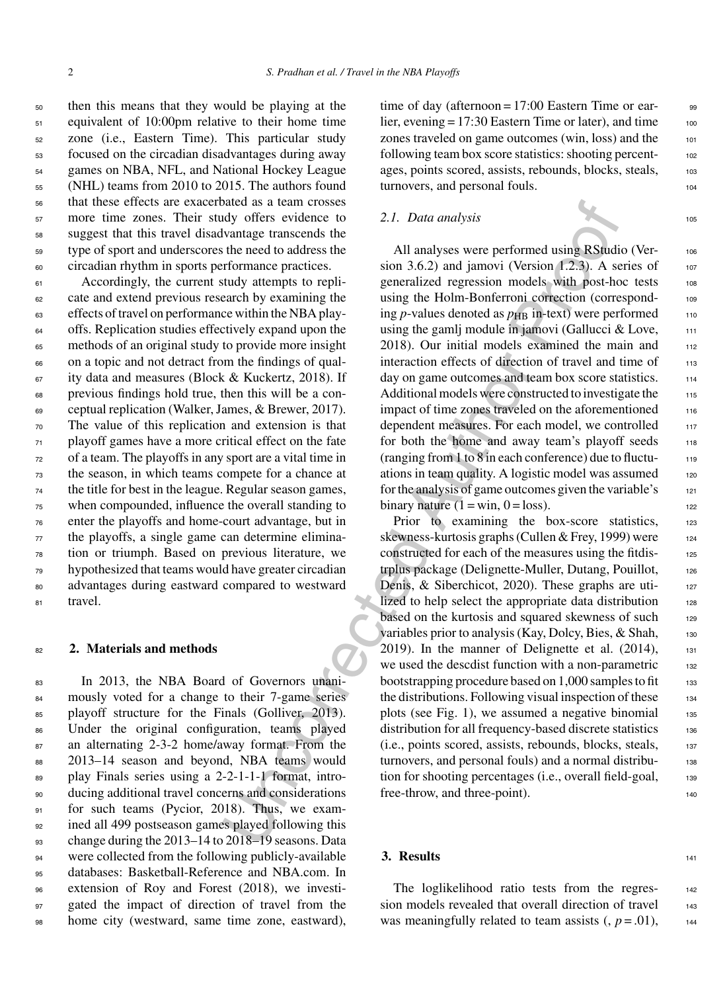then this means that they would be playing at the equivalent of 10:00pm relative to their home time zone (i.e., Eastern Time). This particular study focused on the circadian disadvantages during away games on NBA, NFL, and National Hockey League (NHL) teams from 2010 to 2015. The authors found that these effects are exacerbated as a team crosses more time zones. Their study offers evidence to suggest that this travel disadvantage transcends the type of sport and underscores the need to address the circadian rhythm in sports performance practices.

 Accordingly, the current study attempts to repli- cate and extend previous research by examining the effects of travel on performance within the NBA play- offs. Replication studies effectively expand upon the methods of an original study to provide more insight on a topic and not detract from the findings of qual- ity data and measures (Block & Kuckertz, 2018). If previous findings hold true, then this will be a con- ceptual replication (Walker, James, & Brewer, 2017). The value of this replication and extension is that playoff games have a more critical effect on the fate of a team. The playoffs in any sport are a vital time in the season, in which teams compete for a chance at the title for best in the league. Regular season games, when compounded, influence the overall standing to enter the playoffs and home-court advantage, but in the playoffs, a single game can determine elimina- tion or triumph. Based on previous literature, we hypothesized that teams would have greater circadian advantages during eastward compared to westward 81 travel.

### <sup>82</sup> **2. Materials and methods**

 In 2013, the NBA Board of Governors unani- mously voted for a change to their 7-game series 85 playoff structure for the Finals (Golliver, 2013). Under the original configuration, teams played an alternating 2-3-2 home/away format. From the 2013–14 season and beyond, NBA teams would play Finals series using a 2-2-1-1-1 format, intro- ducing additional travel concerns and considerations 91 for such teams (Pycior, 2018). Thus, we exam- ined all 499 postseason games played following this change during the 2013–14 to 2018–19 seasons. Data 94 were collected from the following publicly-available databases: Basketball-Reference and NBA.com. In extension of Roy and Forest (2018), we investi-97 gated the impact of direction of travel from the home city (westward, same time zone, eastward),

time of day (afternoon =  $17:00$  Eastern Time or earlier, evening  $= 17:30$  Eastern Time or later), and time  $100$ zones traveled on game outcomes (win, loss) and the 101 following team box score statistics: shooting percentages, points scored, assists, rebounds, blocks, steals, 103 turnovers, and personal fouls.

#### *2.1. Data analysis* 105

All analyses were performed using RStudio (Ver-<br>106 sion 3.6.2) and jamovi (Version  $(1.2.3)$ . A series of  $107$ generalized regression models with post-hoc tests 108 using the Holm-Bonferroni correction (corresponding  $p$ -values denoted as  $p_{\text{HB}}$  in-text) were performed  $110$ using the gamlj module in jamovi (Gallucci & Love,  $111$ 2018). Our initial models examined the main and  $112$ interaction effects of direction of travel and time of 113 day on game outcomes and team box score statistics. 114 Additional models were constructed to investigate the 115 impact of time zones traveled on the aforementioned 116 dependent measures. For each model, we controlled 117 for both the home and away team's playoff seeds 118 (ranging from  $1$  to  $8$  in each conference) due to fluctuations in team quality. A logistic model was assumed 120 for the analysis of game outcomes given the variable's 121 binary nature  $(1 = \text{win}, 0 = \text{loss})$ .

size than crossess<br>
and as a team consistence to 2.7. Data analysis<br>
why offers evidence to 2.7. Data analysis<br>
the need to address the<br>
arthoreas provides and jamovi (Version 1.2.3). A state that the need to address the<br> Prior to examining the box-score statistics, 123 skewness-kurtosis graphs (Cullen & Frey, 1999) were 124 constructed for each of the measures using the fitdis- <sup>125</sup> trplus package (Delignette-Muller, Dutang, Pouillot, 126 Denis, & Siberchicot, 2020). These graphs are utilized to help select the appropriate data distribution 128 based on the kurtosis and squared skewness of such 129 variables prior to analysis (Kay, Dolcy, Bies, & Shah, 130  $2019$ ). In the manner of Delignette et al.  $(2014)$ , 131 we used the descdist function with a non-parametric 132 bootstrapping procedure based on  $1,000$  samples to fit  $1,000$ the distributions. Following visual inspection of these  $_{134}$ plots (see Fig. 1), we assumed a negative binomial  $1$ <sup>35</sup> distribution for all frequency-based discrete statistics 136 (i.e., points scored, assists, rebounds, blocks, steals, <sup>137</sup> turnovers, and personal fouls) and a normal distribu- <sup>138</sup> tion for shooting percentages (i.e., overall field-goal, 139 free-throw, and three-point).

### **3. Results** <sup>141</sup>

The loglikelihood ratio tests from the regres-<br>142 sion models revealed that overall direction of travel 143 was meaningfully related to team assists  $($ ,  $p = .01)$ , 144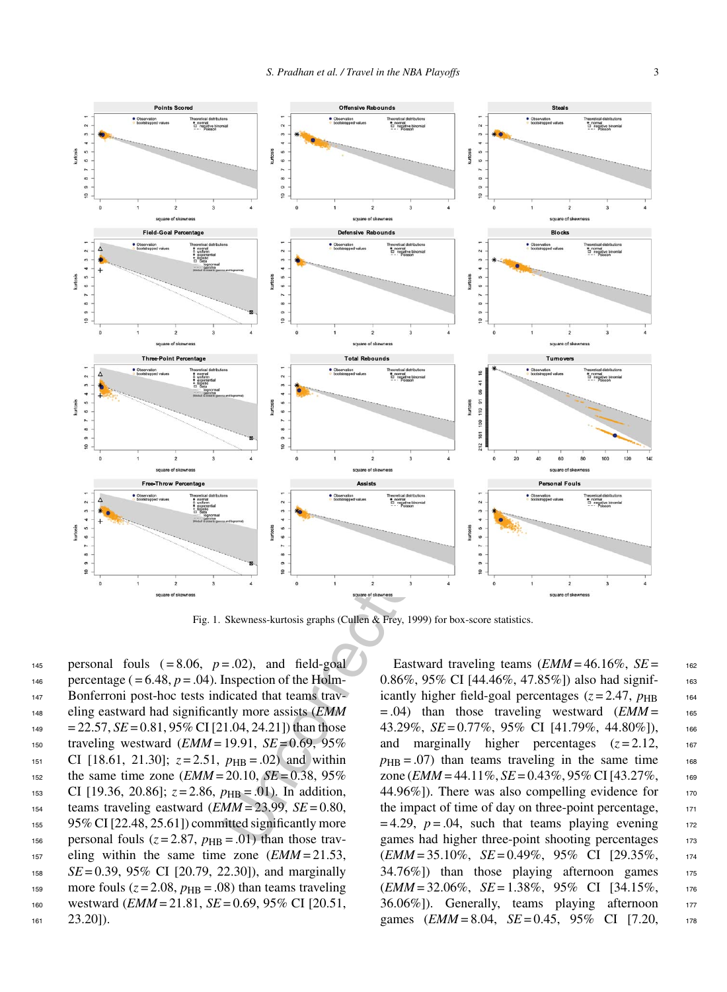

Fig. 1. Skewness-kurtosis graphs (Cullen & Frey, 1999) for box-score statistics.

145 personal fouls  $( = 8.06, p = .02)$ , and field-goal 146 percentage  $( = 6.48, p = .04)$ . Inspection of the Holm-147 Bonferroni post-hoc tests indicated that teams trav-<sup>148</sup> eling eastward had significantly more assists (*EMM*  $149 = 22.57$ ,  $SE = 0.81$ ,  $95\%$  CI [21.04, 24.21]) than those <sup>150</sup> traveling westward (*EMM* = 19.91, *SE* = 0.69, 95% 151 CI [18.61, 21.30];  $z = 2.51$ ,  $p_{HB} = .02$ ) and within <sup>152</sup> the same time zone (*EMM* = 20.10, *SE* = 0.38, 95% 153 CI [19.36, 20.86];  $z = 2.86$ ,  $p_{HB} = .01$ ). In addition,  $154$  teams traveling eastward (*EMM* = 23.99, *SE* = 0.80, <sup>155</sup> 95% CI [22.48, 25.61]) committed significantly more 156 personal fouls  $(z=2.87, p_{HR} = .01)$  than those trav-<sup>157</sup> eling within the same time zone (*EMM* = 21.53, <sup>158</sup> *SE* = 0.39, 95% CI [20.79, 22.30]), and marginally 159 more fouls  $(z = 2.08, p_{HB} = .08)$  than teams traveling <sup>160</sup> westward (*EMM* = 21.81, *SE* = 0.69, 95% CI [20.51,  $161$   $23.20$ ]).

Eastward traveling teams  $\mathcal{L}$  *EMM* = 46.16%,  $\mathcal{S}E =$  162 0.86%, 95% CI  $[44.46\%, 47.85\%]$  also had significantly higher field-goal percentages  $(z=2.47, p_{\rm HB}$  164  $= .04$ ) than those traveling westward (*EMM* $=$  165 43.29%, *SE* = 0.77%, 95% CI [41.79%, 44.80%]), 166 and marginally higher percentages  $(z=2.12, \cdot 167)$  $p_{\text{HB}} = .07$ ) than teams traveling in the same time 168 zone ( $EMM = 44.11\%$ ,  $SE = 0.43\%$ ,  $95\%$  CI [43.27%, 169 44.96%]). There was also compelling evidence for  $170$ the impact of time of day on three-point percentage, 171  $= 4.29$ ,  $p = .04$ , such that teams playing evening 172 games had higher three-point shooting percentages 173 (*EMM* = 35.10%, *SE* = 0.49%, 95% CI [29.35%, <sup>174</sup> 34.76%]) than those playing afternoon games 175 (*EMM* = 32.06%, *SE* = 1.38%, 95% CI [34.15%, <sup>176</sup> 36.06%]). Generally, teams playing afternoon 177 games (*EMM* = 8.04, *SE* = 0.45, 95% CI [7.20, 178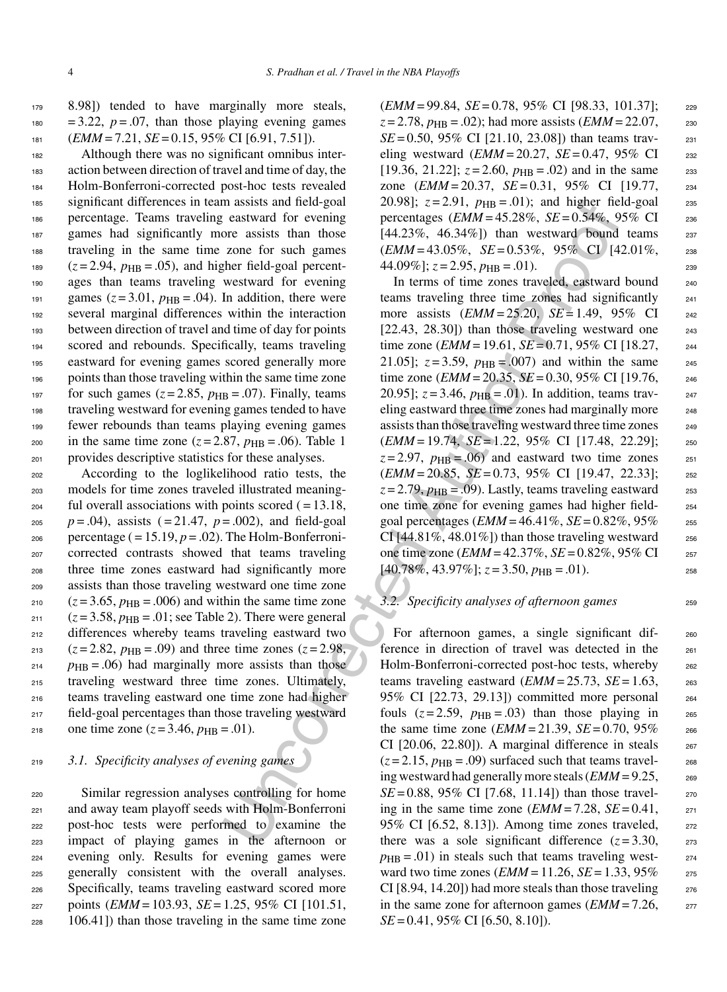179 8.98]) tended to have marginally more steals,  $180 = 3.22$ ,  $p = .07$ , than those playing evening games  $181$  (*EMM* = 7.21, *SE* = 0.15, 95% CI [6.91, 7.51]).

 Although there was no significant omnibus inter- action between direction of travel and time of day, the Holm-Bonferroni-corrected post-hoc tests revealed significant differences in team assists and field-goal percentage. Teams traveling eastward for evening games had significantly more assists than those traveling in the same time zone for such games <sup>189</sup>  $(z=2.94, p_{HB} = .05)$ , and higher field-goal percent- ages than teams traveling westward for evening 191 games  $(z=3.01, p_{HB} = .04)$ . In addition, there were several marginal differences within the interaction between direction of travel and time of day for points scored and rebounds. Specifically, teams traveling eastward for evening games scored generally more points than those traveling within the same time zone 197 for such games  $(z=2.85, p_{\rm HB} = .07)$ . Finally, teams traveling westward for evening games tended to have fewer rebounds than teams playing evening games 200 in the same time zone  $(z=2.87, p_{\rm HB} = .06)$ . Table 1 provides descriptive statistics for these analyses.

<sup>202</sup> According to the loglikelihood ratio tests, the <sup>203</sup> models for time zones traveled illustrated meaning- $_{204}$  ful overall associations with points scored ( $= 13.18$ ,  $p = .04$ , assists ( $= 21.47$ ,  $p = .002$ ), and field-goal  $_{206}$  percentage ( $= 15.19, p = .02$ ). The Holm-Bonferroni-<sup>207</sup> corrected contrasts showed that teams traveling <sup>208</sup> three time zones eastward had significantly more <sup>209</sup> assists than those traveling westward one time zone  $_{210}$   $(z=3.65, p_{HR}=.006)$  and within the same time zone  $_{211}$   $(z=3.58, p_{\rm HB} = .01;$  see Table 2). There were general <sup>212</sup> differences whereby teams traveling eastward two  $_{213}$  ( $z = 2.82$ ,  $p_{\text{HR}} = .09$ ) and three time zones ( $z = 2.98$ ,  $p_{\text{HB}} = .06$ ) had marginally more assists than those <sup>215</sup> traveling westward three time zones. Ultimately, <sup>216</sup> teams traveling eastward one time zone had higher <sup>217</sup> field-goal percentages than those traveling westward 218 one time zone  $(z = 3.46, p_{\text{HB}} = .01)$ .

## <sup>219</sup> *3.1. Specificity analyses of evening games*

 Similar regression analyses controlling for home and away team playoff seeds with Holm-Bonferroni post-hoc tests were performed to examine the impact of playing games in the afternoon or evening only. Results for evening games were generally consistent with the overall analyses. Specifically, teams traveling eastward scored more points (*EMM* = 103.93, *SE* = 1.25, 95% CI [101.51, 106.41]) than those traveling in the same time zone (*EMM* = 99.84, *SE* = 0.78, 95% CI [98.33, 101.37]; <sup>229</sup>  $z = 2.78$ ,  $p_{\text{HB}} = .02$ ); had more assists (*EMM* = 22.07, 230  $SE = 0.50$ , 95% CI [21.10, 23.08]) than teams traveling westward  $(EMM = 20.27, SE = 0.47, 95\% \text{ CI}$  232 [19.36, 21.22];  $z = 2.60$ ,  $p_{HR} = .02$ ) and in the same 233 zone (*EMM* = 20.37, *SE* = 0.31, 95% CI [19.77, <sup>234</sup> 20.98];  $z = 2.91$ ,  $p_{\text{HB}} = .01$ ; and higher field-goal 235 percentages (*EMM* = 45.28%, *SE* = 0.54%, 95% CI <sup>236</sup>  $[44.23\%, 46.34\%]$  than westward bound teams  $237$ (*EMM* = 43.05%, *SE* = 0.53%, 95% CI [42.01%, <sup>238</sup>  $44.09\%$ ;  $z = 2.95$ ,  $p_{\text{HR}} = .01$ ).

massiss than those throughly  $z = 2.91$ ,  $p_{HB} = 0.01$ ; and hapter the correct and belogainty and head to the standard the correction of example the field-goal percent.  $(EMM = 43.3\%$ ,  $6.5.43\%$ ) than westward bond the fiel In terms of time zones traveled, eastward bound 240 teams traveling three time zones had significantly <sup>241</sup> more assists (*EMM* = 25.20, *SE* = 1.49, 95% CI <sup>242</sup>  $[22.43, 28.30]$  than those traveling westward one  $_{243}$ time zone (*EMM* = 19.61, *SE* = 0.71, 95% CI [18.27,  $_{244}$ 21.05];  $z = 3.59$ ,  $p_{HB} = .007$ ) and within the same 245 time zone (*EMM* = 20.35, *SE* = 0.30, 95% CI [19.76, 246 20.95];  $z = 3.46$ ,  $p_{HB} = .01$ ). In addition, teams traveling eastward three time zones had marginally more 248 assists than those traveling westward three time zones 249 (*EMM* = 19.74, *SE* = 1.22, 95% CI [17.48, 22.29]; <sup>250</sup>  $z = 2.97$ ,  $p_{\text{HB}} = .06$  and eastward two time zones  $z_{51}$ (*EMM* = 20.85, *SE* = 0.73, 95% CI [19.47, 22.33]; <sup>252</sup>  $z = 2.79$ ,  $p_{\text{HB}} = .09$ ). Lastly, teams traveling eastward 253 one time zone for evening games had higher field- <sup>254</sup> goal percentages (*EMM* = 46.41%, *SE* = 0.82%, 95% <sup>255</sup> CI  $[44.81\%, 48.01\%]$ ) than those traveling westward  $256$ one time zone (*EMM* = 42.37%, *SE* = 0.82%, 95% CI <sup>257</sup>  $[40.78\%, 43.97\%]; z=3.50, p_{\rm HB} = .01$ .

#### *3.2. Specificity analyses of afternoon games* 259

For afternoon games, a single significant dif-<br>260 ference in direction of travel was detected in the <sup>261</sup> Holm-Bonferroni-corrected post-hoc tests, whereby 262 teams traveling eastward  $(EMM = 25.73, SE = 1.63,$  263 95% CI [22.73, 29.13]) committed more personal <sup>264</sup> fouls  $(z=2.59, p_{\text{HB}} = .03)$  than those playing in 265 the same time zone  $(EMM = 21.39, SE = 0.70, 95\%$  266 CI  $[20.06, 22.80]$ . A marginal difference in steals  $267$  $(z=2.15, p_{\rm HB} = .09)$  surfaced such that teams traveling westward had generally more steals  $(EMM = 9.25,$  269  $SE = 0.88$ , 95% CI [7.68, 11.14]) than those traveling in the same time zone  $\left(\frac{EMM}{7.28}, \frac{SE}{9.41}, \frac{271}{271}\right)$ 95% CI [6.52, 8.13]). Among time zones traveled, <sup>272</sup> there was a sole significant difference  $(z=3.30, z=273)$  $p_{\text{HB}} = .01$ ) in steals such that teams traveling westward two time zones (*EMM* = 11.26, *SE* = 1.33, 95% <sup>275</sup> CI  $[8.94, 14.20]$  had more steals than those traveling  $276$ in the same zone for afternoon games  $(EMM = 7.26,$ *SE* = 0.41, 95% CI [6.50, 8.10]).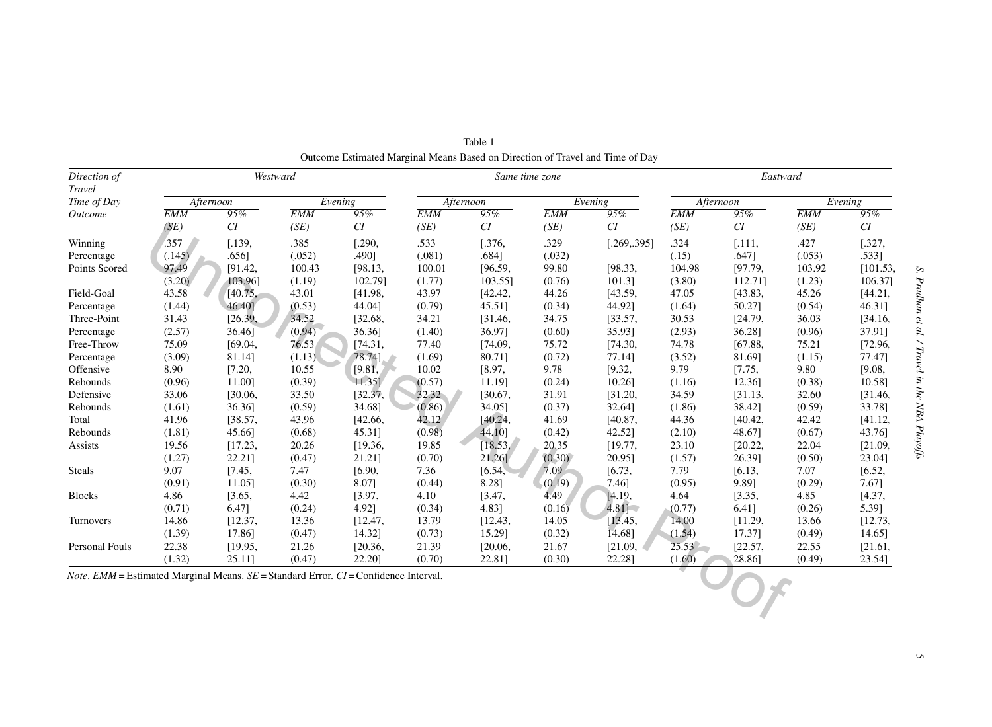| Direction of<br><b>Travel</b>                                                                   |            |           | Westward              |         |            |         | Same time zone |              | Eastward   |         |            |          |  |
|-------------------------------------------------------------------------------------------------|------------|-----------|-----------------------|---------|------------|---------|----------------|--------------|------------|---------|------------|----------|--|
| Time of Day                                                                                     |            | Afternoon | $\overline{E}$ vening |         | Afternoon  |         | Evening        |              | Afternoon  |         | Evening    |          |  |
| Outcome                                                                                         | <b>EMM</b> | 95%       | <b>EMM</b>            | 95%     | <b>EMM</b> | 95%     | <b>EMM</b>     | 95%          | <b>EMM</b> | 95%     | <b>EMM</b> | 95%      |  |
|                                                                                                 | (SE)       | CI        | (SE)                  | CI      | (SE)       | CI      | (SE)           | CI           | (SE)       | CI      | (SE)       | CI       |  |
| Winning                                                                                         | .357       | 1.139.    | .385                  | [.290,  | .533       | 1.376,  | .329           | [.269, .395] | .324       | [.111,  | .427       | [.327,   |  |
| Percentage                                                                                      | (.145)     | .6561     | (.052)                | .490]   | (.081)     | .6841   | (.032)         |              | (.15)      | .6471   | (.053)     | .533]    |  |
| Points Scored                                                                                   | 97.49      | [91.42,   | 100.43                | [98.13, | 100.01     | [96.59, | 99.80          | [98.33,      | 104.98     | [97.79, | 103.92     | [101.53, |  |
|                                                                                                 | (3.20)     | 103.961   | (1.19)                | 102.791 | (1.77)     | 103.55] | (0.76)         | 101.31       | (3.80)     | 112.711 | (1.23)     | 106.37]  |  |
| Field-Goal                                                                                      | 43.58      | [40.75,   | 43.01                 | [41.98, | 43.97      | [42.42, | 44.26          | [43.59,      | 47.05      | [43.83, | 45.26      | [44.21,  |  |
| Percentage                                                                                      | (1.44)     | 46.40]    | (0.53)                | 44.04]  | (0.79)     | 45.51]  | (0.34)         | 44.92]       | (1.64)     | 50.27]  | (0.54)     | 46.31]   |  |
| Three-Point                                                                                     | 31.43      | [26.39,   | 34.52                 | [32.68, | 34.21      | [31.46, | 34.75          | [33.57,      | 30.53      | [24.79, | 36.03      | [34.16,  |  |
| Percentage                                                                                      | (2.57)     | 36.46]    | (0.94)                | 36.36]  | (1.40)     | 36.97]  | (0.60)         | 35.931       | (2.93)     | 36.28]  | (0.96)     | 37.91]   |  |
| Free-Throw                                                                                      | 75.09      | [69.04,   | 76.53                 | [74.31, | 77.40      | [74.09, | 75.72          | [74.30,      | 74.78      | [67.88, | 75.21      | [72.96,  |  |
| Percentage                                                                                      | (3.09)     | 81.14]    | (1.13)                | 78.74]  | (1.69)     | 80.711  | (0.72)         | 77.141       | (3.52)     | 81.69]  | (1.15)     | 77.47]   |  |
| Offensive                                                                                       | 8.90       | [7.20,    | 10.55                 | [9.81,  | 10.02      | [8.97,  | 9.78           | [9.32,       | 9.79       | [7.75,  | 9.80       | [9.08,   |  |
| Rebounds                                                                                        | (0.96)     | 11.001    | (0.39)                | 11.35   | (0.57)     | 11.191  | (0.24)         | 10.261       | (1.16)     | 12.36]  | (0.38)     | 10.58]   |  |
| Defensive                                                                                       | 33.06      | [30.06,   | 33.50                 | [32.37, | 32.32      | [30.67, | 31.91          | [31.20,      | 34.59      | [31.13, | 32.60      | [31.46,  |  |
| Rebounds                                                                                        | (1.61)     | 36.361    | (0.59)                | 34.68]  | (0.86)     | 34.051  | (0.37)         | 32.64]       | (1.86)     | 38.42]  | (0.59)     | 33.78]   |  |
| Total                                                                                           | 41.96      | [38.57,   | 43.96                 | [42.66, | 42.12      | [40.24, | 41.69          | [40.87,      | 44.36      | [40.42, | 42.42      | [41.12,  |  |
| Rebounds                                                                                        | (1.81)     | 45.661    | (0.68)                | 45.31]  | (0.98)     | 44.10]  | (0.42)         | 42.52]       | (2.10)     | 48.67]  | (0.67)     | 43.76]   |  |
| Assists                                                                                         | 19.56      | [17.23,   | 20.26                 | [19.36, | 19.85      | [18.53] | 20.35          | [19.77,      | 23.10      | [20.22, | 22.04      | [21.09,  |  |
|                                                                                                 | (1.27)     | 22.21]    | (0.47)                | 21.21]  | (0.70)     | 21.261  | (0.30)         | 20.95]       | (1.57)     | 26.39]  | (0.50)     | 23.04]   |  |
| <b>Steals</b>                                                                                   | 9.07       | [7.45,    | 7.47                  | [6.90,  | 7.36       | [6.54]  | 7.09           | [6.73,       | 7.79       | [6.13,  | 7.07       | [6.52,   |  |
|                                                                                                 | (0.91)     | 11.05     | (0.30)                | 8.07]   | (0.44)     | 8.28]   | (0.19)         | 7.461        | (0.95)     | 9.891   | (0.29)     | 7.67]    |  |
| <b>Blocks</b>                                                                                   | 4.86       | [3.65,    | 4.42                  | [3.97,  | 4.10       | [3.47,  | 4.49           | [4.19,       | 4.64       | [3.35,  | 4.85       | [4.37,   |  |
|                                                                                                 | (0.71)     | 6.471     | (0.24)                | 4.921   | (0.34)     | 4.83]   | (0.16)         | 4.81         | (0.77)     | 6.41]   | (0.26)     | 5.39]    |  |
| Turnovers                                                                                       | 14.86      | [12.37,   | 13.36                 | [12.47, | 13.79      | [12.43, | 14.05          | [13.45,      | 14.00      | [11.29, | 13.66      | [12.73,  |  |
|                                                                                                 | (1.39)     | 17.861    | (0.47)                | 14.32]  | (0.73)     | 15.29]  | (0.32)         | 14.68]       | (1.54)     | 17.37]  | (0.49)     | 14.65]   |  |
| Personal Fouls                                                                                  | 22.38      | [19.95,   | 21.26                 | [20.36, | 21.39      | [20.06, | 21.67          | [21.09,      | $25.53 -$  | [22.57, | 22.55      | [21.61,  |  |
|                                                                                                 | (1.32)     | 25.11]    | (0.47)                | 22.20]  | (0.70)     | 22.811  | (0.30)         | 22.281       | (1.60)     | 28.861  | (0.49)     | 23.541   |  |
| <i>Note.</i> EMM = Estimated Marginal Means. $SE =$ Standard Error. $CI =$ Confidence Interval. |            |           |                       |         |            |         |                |              |            |         |            |          |  |

Table 1Outcome Estimated Marginal Means Based on Direction of Travel and Time of Day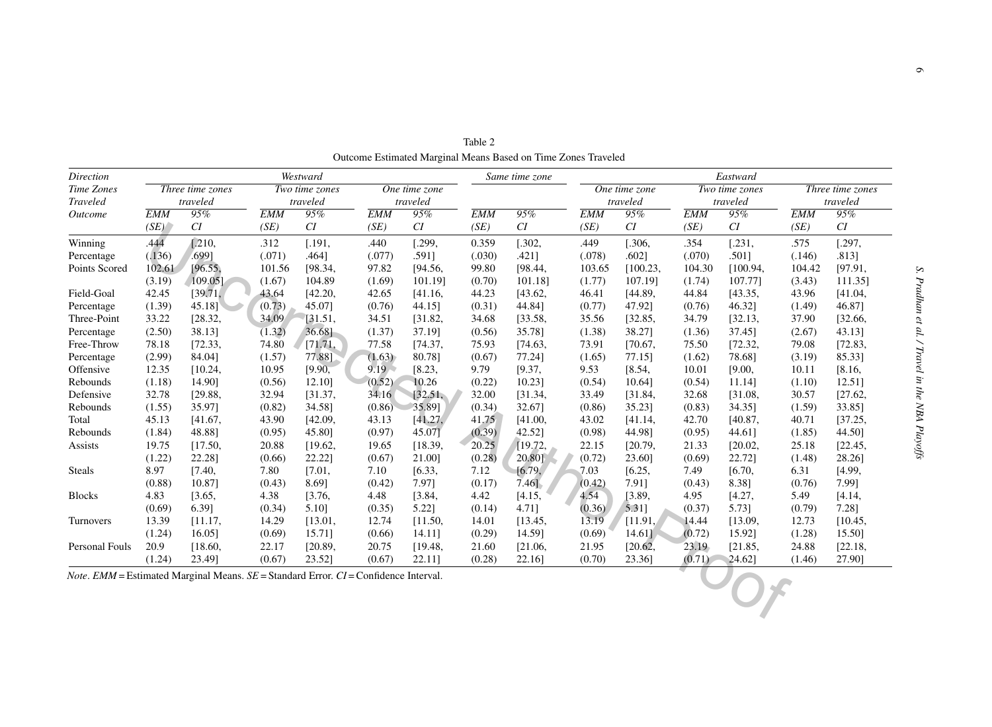| <b>Direction</b> | Westward                     |           |                            |         |                           |         |            | Same time zone |            | Eastward                               |            |                |                  |          |  |  |
|------------------|------------------------------|-----------|----------------------------|---------|---------------------------|---------|------------|----------------|------------|----------------------------------------|------------|----------------|------------------|----------|--|--|
| Time Zones       | Three time zones<br>traveled |           | Two time zones<br>traveled |         | One time zone<br>traveled |         |            |                |            | $\overline{One}$ time zone<br>traveled |            | Two time zones | Three time zones |          |  |  |
| <b>Traveled</b>  |                              |           |                            |         |                           |         |            |                |            |                                        |            | traveled       |                  | traveled |  |  |
| Outcome          | <b>EMM</b>                   | 95%       | <b>EMM</b>                 | 95%     | <b>EMM</b>                | 95%     | <b>EMM</b> | 95%            | <b>EMM</b> | 95%                                    | <b>EMM</b> | 95%            | <b>EMM</b>       | 95%      |  |  |
|                  | (SE)                         | CI        | (SE)                       | CI      | (SE)                      | CI      | (SE)       | CI             | (SE)       | CI                                     | (SE)       | CI             | (SE)             | CI       |  |  |
| Winning          | .444                         | [.210,    | .312                       | [.191,  | .440                      | [.299,  | 0.359      | 1.302,         | .449       | 1.306,                                 | .354       | [.231,         | .575             | 1.297,   |  |  |
| Percentage       | (.136)                       | .6991     | (.071)                     | .4641   | (.077)                    | .5911   | (.030)     | .4211          | (.078)     | .6021                                  | (.070)     | .5011          | (.146)           | .813]    |  |  |
| Points Scored    | 102.61                       | [96.55,   | 101.56                     | [98.34, | 97.82                     | [94.56, | 99.80      | [98.44,        | 103.65     | [100.23,                               | 104.30     | [100.94,       | 104.42           | [97.91,  |  |  |
|                  | (3.19)                       | 109.05]   | (1.67)                     | 104.89  | (1.69)                    | 101.191 | (0.70)     | 101.18]        | (1.77)     | 107.19]                                | (1.74)     | 107.771        | (3.43)           | 111.35]  |  |  |
| Field-Goal       | 42.45                        | [39.71,   | 43.64                      | [42.20, | 42.65                     | [41.16, | 44.23      | [43.62,        | 46.41      | [44.89,                                | 44.84      | [43.35,        | 43.96            | [41.04,  |  |  |
| Percentage       | (1.39)                       | $45.18$ ] | (0.73)                     | 45.071  | (0.76)                    | 44.15]  | (0.31)     | 44.841         | (0.77)     | 47.92]                                 | (0.76)     | 46.32]         | (1.49)           | 46.87]   |  |  |
| Three-Point      | 33.22                        | [28.32,   | 34.09                      | [31.51, | 34.51                     | [31.82, | 34.68      | [33.58,        | 35.56      | [32.85,                                | 34.79      | [32.13,        | 37.90            | [32.66,  |  |  |
| Percentage       | (2.50)                       | 38.13]    | (1.32)                     | 36.68]  | (1.37)                    | 37.19]  | (0.56)     | 35.78]         | (1.38)     | 38.27]                                 | (1.36)     | 37.45]         | (2.67)           | 43.13]   |  |  |
| Free-Throw       | 78.18                        | [72.33,   | 74.80                      | [71.71, | 77.58                     | [74.37] | 75.93      | [74.63,        | 73.91      | [70.67,                                | 75.50      | [72.32,        | 79.08            | [72.83,  |  |  |
| Percentage       | (2.99)                       | 84.04]    | (1.57)                     | 77.88]  | (1.63)                    | 80.78]  | (0.67)     | 77.24]         | (1.65)     | 77.15]                                 | (1.62)     | 78.68]         | (3.19)           | 85.33]   |  |  |
| Offensive        | 12.35                        | [10.24,   | 10.95                      | [9.90,  | $9.19 -$                  | [8.23,  | 9.79       | [9.37,         | 9.53       | [8.54,                                 | 10.01      | [9.00,         | 10.11            | [8.16,   |  |  |
| Rebounds         | (1.18)                       | 14.901    | (0.56)                     | 12.101  | (0.52)                    | 10.26   | (0.22)     | 10.231         | (0.54)     | 10.641                                 | (0.54)     | 11.14]         | (1.10)           | 12.51]   |  |  |
| Defensive        | 32.78                        | [29.88,   | 32.94                      | [31.37, | 34.16                     | [32.51] | 32.00      | [31.34,        | 33.49      | [31.84,                                | 32.68      | [31.08,        | 30.57            | [27.62,  |  |  |
| Rebounds         | (1.55)                       | 35.97]    | (0.82)                     | 34.58]  | (0.86)                    | 35.891  | (0.34)     | 32.67]         | (0.86)     | 35.23]                                 | (0.83)     | 34.35]         | (1.59)           | 33.85]   |  |  |
| Total            | 45.13                        | [41.67,   | 43.90                      | [42.09, | 43.13                     | [41.27, | 41.75      | [41.00,        | 43.02      | [41.14,                                | 42.70      | [40.87,        | 40.71            | [37.25,  |  |  |
| Rebounds         | (1.84)                       | 48.88]    | (0.95)                     | 45.80]  | (0.97)                    | 45.07]  | (0.39)     | 42.52]         | (0.98)     | 44.981                                 | (0.95)     | 44.61]         | (1.85)           | 44.50]   |  |  |
| Assists          | 19.75                        | [17.50,   | 20.88                      | [19.62, | 19.65                     | [18.39, | 20.25      | [19.72,        | 22.15      | [20.79,                                | 21.33      | [20.02,        | 25.18            | [22.45,  |  |  |
|                  | (1.22)                       | 22.28]    | (0.66)                     | 22.22]  | (0.67)                    | 21.00]  | (0.28)     | 20.80]         | (0.72)     | 23.60]                                 | (0.69)     | 22.721         | (1.48)           | 28.26]   |  |  |
| <b>Steals</b>    | 8.97                         | [7.40,    | 7.80                       | [7.01,  | 7.10                      | [6.33,  | 7.12       | [6.79]         | 7.03       | [6.25,                                 | 7.49       | [6.70,         | 6.31             | [4.99,   |  |  |
|                  | (0.88)                       | 10.87]    | (0.43)                     | 8.69]   | (0.42)                    | 7.971   | (0.17)     | $7.46$ ].      | (0.42)     | 7.91]                                  | (0.43)     | 8.381          | (0.76)           | 7.99]    |  |  |
| <b>Blocks</b>    | 4.83                         | [3.65,    | 4.38                       | [3.76,  | 4.48                      | [3.84,  | 4.42       | [4.15,         | 4.54       | [3.89,                                 | 4.95       | [4.27,         | 5.49             | [4.14,   |  |  |
|                  | (0.69)                       | 6.39]     | (0.34)                     | 5.10]   | (0.35)                    | 5.22]   | (0.14)     | 4.71]          | (0.36)     | 5.311                                  | (0.37)     | 5.731          | (0.79)           | 7.281    |  |  |
| Turnovers        | 13.39                        | [11.17,   | 14.29                      | [13.01, | 12.74                     | [11.50, | 14.01      | [13.45,        | 13.19      | [11.91]                                | 14.44      | [13.09,        | 12.73            | [10.45,  |  |  |
|                  | (1.24)                       | $16.05$ ] | (0.69)                     | 15.711  | (0.66)                    | 14.11]  | (0.29)     | 14.59]         | (0.69)     | 14.61]                                 | (0.72)     | 15.92]         | (1.28)           | 15.50]   |  |  |
| Personal Fouls   | 20.9                         | [18.60,   | 22.17                      | [20.89, | 20.75                     | [19.48, | 21.60      | [21.06,        | 21.95      | [20.62,                                | 23.19      | [21.85,        | 24.88            | [22.18,  |  |  |
|                  | (1.24)                       | 23.49]    | (0.67)                     | 23.52]  | (0.67)                    | 22.11]  | (0.28)     | 22.16]         | (0.70)     | 23.36]                                 | (0.71)     | 24.62]         | (1.46)           | 27.90]   |  |  |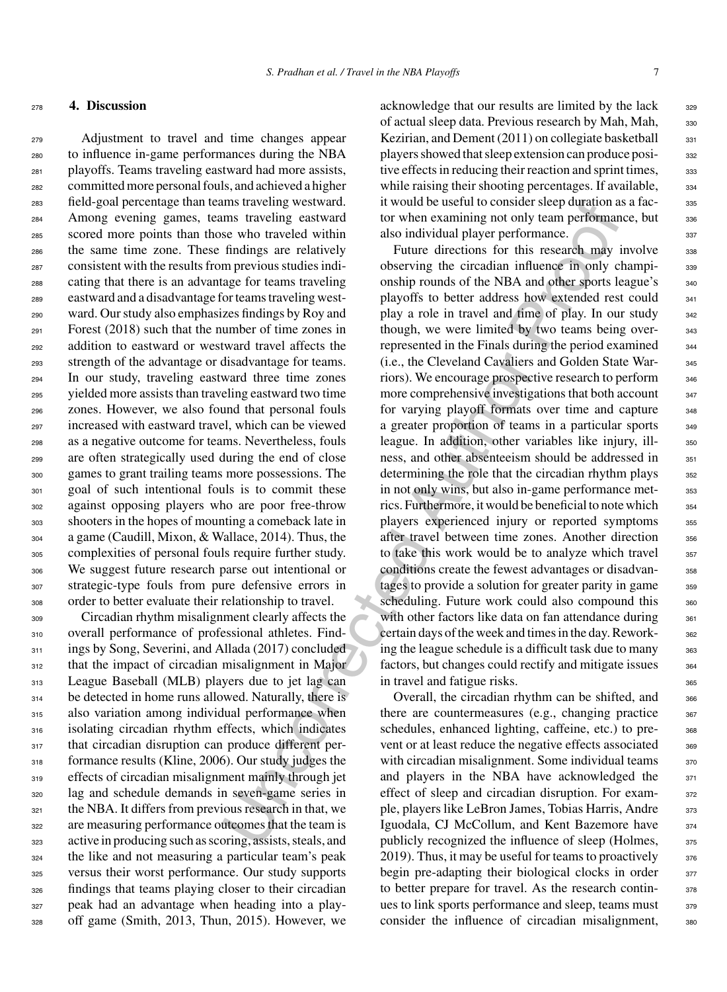## <sup>278</sup> **4. Discussion**

 Adjustment to travel and time changes appear to influence in-game performances during the NBA playoffs. Teams traveling eastward had more assists, committed more personal fouls, and achieved a higher field-goal percentage than teams traveling westward. Among evening games, teams traveling eastward scored more points than those who traveled within the same time zone. These findings are relatively consistent with the results from previous studies indi- cating that there is an advantage for teams traveling eastward and a disadvantage for teams traveling west- ward. Our study also emphasizes findings by Roy and Forest (2018) such that the number of time zones in addition to eastward or westward travel affects the strength of the advantage or disadvantage for teams. In our study, traveling eastward three time zones yielded more assists than traveling eastward two time zones. However, we also found that personal fouls increased with eastward travel, which can be viewed as a negative outcome for teams. Nevertheless, fouls are often strategically used during the end of close games to grant trailing teams more possessions. The goal of such intentional fouls is to commit these against opposing players who are poor free-throw shooters in the hopes of mounting a comeback late in a game (Caudill, Mixon, & Wallace, 2014). Thus, the complexities of personal fouls require further study. We suggest future research parse out intentional or strategic-type fouls from pure defensive errors in order to better evaluate their relationship to travel.

 Circadian rhythm misalignment clearly affects the overall performance of professional athletes. Find-311 ings by Song, Severini, and Allada (2017) concluded 312 that the impact of circadian misalignment in Major League Baseball (MLB) players due to jet lag can be detected in home runs allowed. Naturally, there is also variation among individual performance when isolating circadian rhythm effects, which indicates 317 that circadian disruption can produce different per-318 formance results (Kline, 2006). Our study judges the effects of circadian misalignment mainly through jet lag and schedule demands in seven-game series in the NBA. It differs from previous research in that, we are measuring performance outcomes that the team is active in producing such as scoring, assists, steals, and the like and not measuring a particular team's peak versus their worst performance. Our study supports findings that teams playing closer to their circadian peak had an advantage when heading into a play-off game (Smith, 2013, Thun, 2015). However, we

acknowledge that our results are limited by the lack 329 of actual sleep data. Previous research by Mah, Mah, 330 Kezirian, and Dement  $(2011)$  on collegiate basketball  $331$ players showed that sleep extension can produce posi-<br>332 tive effects in reducing their reaction and sprint times,  $333$ while raising their shooting percentages. If available,  $334$ it would be useful to consider sleep duration as a fac-<br>335 tor when examining not only team performance, but  $336$ also individual player performance.

Imstracting vestward<br>
In would be useful to consider sleep duration<br>
Instracting eastward<br>
In two two examining not only team performance.<br>
See who travelably also individual player performance.<br>
In findings are elatively Future directions for this research may involve 338 observing the circadian influence in only champi- <sup>339</sup> onship rounds of the NBA and other sports league's 340 playoffs to better address how extended rest could 341 play a role in travel and time of play. In our study 342 though, we were limited by two teams being over-<br>343 represented in the Finals during the period examined <sub>344</sub> (i.e., the Cleveland Cavaliers and Golden State War- <sup>345</sup> riors). We encourage prospective research to perform  $346$ more comprehensive investigations that both account 347 for varying playoff formats over time and capture 348 a greater proportion of teams in a particular sports 349 league. In addition, other variables like injury, ill-<br>s<sub>50</sub> ness, and other absenteeism should be addressed in 351 determining the role that the circadian rhythm plays  $352$ in not only wins, but also in-game performance met-<br>353 rics. Furthermore, it would be beneficial to note which  $354$ players experienced injury or reported symptoms 355 after travel between time zones. Another direction 356 to take this work would be to analyze which travel 357 conditions create the fewest advantages or disadvan-<br><sub>358</sub> tages to provide a solution for greater parity in game 359 scheduling. Future work could also compound this 360 with other factors like data on fan attendance during  $361$ certain days of the week and times in the day. Rework-<br>362 ing the league schedule is a difficult task due to many  $363$ factors, but changes could rectify and mitigate issues  $364$ in travel and fatigue risks.

Overall, the circadian rhythm can be shifted, and  $366$ there are countermeasures (e.g., changing practice  $367$ schedules, enhanced lighting, caffeine, etc.) to pre-<br>see vent or at least reduce the negative effects associated 369 with circadian misalignment. Some individual teams  $370$ and players in the NBA have acknowledged the 371 effect of sleep and circadian disruption. For exam-<br>372 ple, players like LeBron James, Tobias Harris, Andre 373 Iguodala, CJ McCollum, and Kent Bazemore have 374 publicly recognized the influence of sleep (Holmes,  $375$ 2019). Thus, it may be useful for teams to proactively  $376$ begin pre-adapting their biological clocks in order  $377$ to better prepare for travel. As the research contin-<br> $378$ ues to link sports performance and sleep, teams must  $379$ consider the influence of circadian misalignment, 380